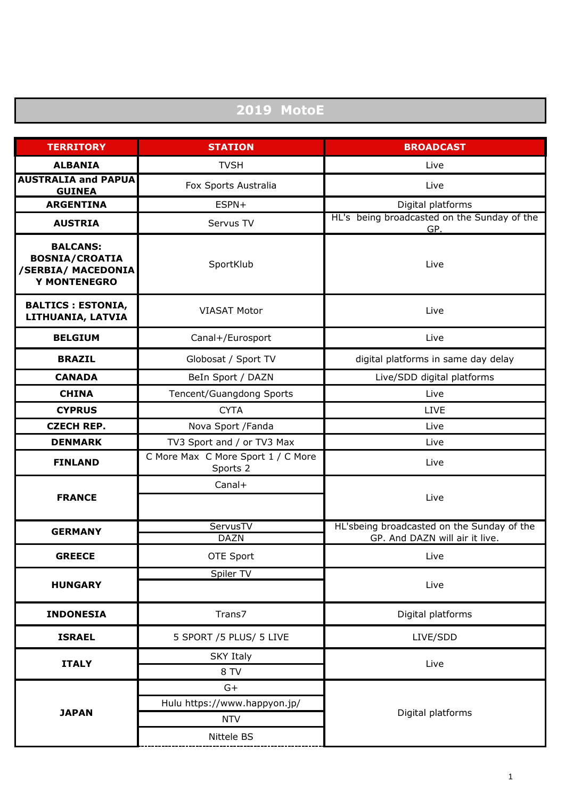## **2019 MotoE**

| <b>TERRITORY</b>                                                                      | <b>STATION</b>                                 | <b>BROADCAST</b>                                                             |
|---------------------------------------------------------------------------------------|------------------------------------------------|------------------------------------------------------------------------------|
| <b>ALBANIA</b>                                                                        | <b>TVSH</b>                                    | Live                                                                         |
| <b>AUSTRALIA and PAPUA</b><br><b>GUINEA</b>                                           | Fox Sports Australia                           | Live                                                                         |
| <b>ARGENTINA</b>                                                                      | ESPN+                                          | Digital platforms                                                            |
| <b>AUSTRIA</b>                                                                        | Servus TV                                      | HL's being broadcasted on the Sunday of the<br>GP.                           |
| <b>BALCANS:</b><br><b>BOSNIA/CROATIA</b><br>/SERBIA/ MACEDONIA<br><b>Y MONTENEGRO</b> | SportKlub                                      | Live                                                                         |
| <b>BALTICS : ESTONIA,</b><br>LITHUANIA, LATVIA                                        | <b>VIASAT Motor</b>                            | Live                                                                         |
| <b>BELGIUM</b>                                                                        | Canal+/Eurosport                               | Live                                                                         |
| <b>BRAZIL</b>                                                                         | Globosat / Sport TV                            | digital platforms in same day delay                                          |
| <b>CANADA</b>                                                                         | BeIn Sport / DAZN                              | Live/SDD digital platforms                                                   |
| <b>CHINA</b>                                                                          | Tencent/Guangdong Sports                       | Live                                                                         |
| <b>CYPRUS</b>                                                                         | <b>CYTA</b>                                    | <b>LIVE</b>                                                                  |
| <b>CZECH REP.</b>                                                                     | Nova Sport / Fanda                             | Live                                                                         |
| <b>DENMARK</b>                                                                        | TV3 Sport and / or TV3 Max                     | Live                                                                         |
| <b>FINLAND</b>                                                                        | C More Max C More Sport 1 / C More<br>Sports 2 | Live                                                                         |
| <b>FRANCE</b>                                                                         | Canal+                                         | Live                                                                         |
| <b>GERMANY</b>                                                                        | ServusTV<br><b>DAZN</b>                        | HL'sbeing broadcasted on the Sunday of the<br>GP. And DAZN will air it live. |
| <b>GREECE</b>                                                                         | OTE Sport                                      | Live                                                                         |
| <b>HUNGARY</b>                                                                        | Spiler TV                                      | Live                                                                         |
| <b>INDONESIA</b>                                                                      | Trans7                                         | Digital platforms                                                            |
| <b>ISRAEL</b>                                                                         | 5 SPORT /5 PLUS/ 5 LIVE                        | LIVE/SDD                                                                     |
| <b>ITALY</b>                                                                          | <b>SKY Italy</b><br>8 TV                       | Live                                                                         |
| <b>JAPAN</b>                                                                          | $G+$                                           |                                                                              |
|                                                                                       | Hulu https://www.happyon.jp/                   | Digital platforms                                                            |
|                                                                                       | <b>NTV</b>                                     |                                                                              |
|                                                                                       | Nittele BS                                     |                                                                              |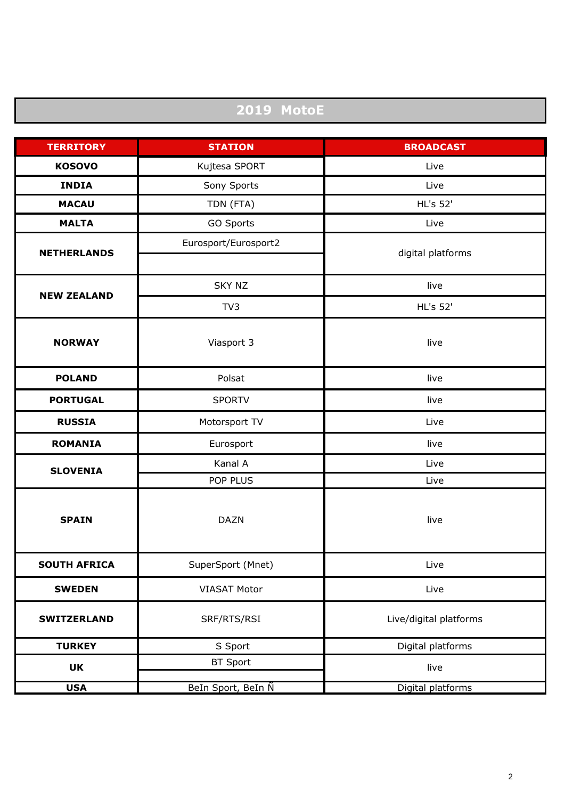## **2019 MotoE**

| <b>TERRITORY</b>    | <b>STATION</b>       | <b>BROADCAST</b>       |
|---------------------|----------------------|------------------------|
| <b>KOSOVO</b>       | Kujtesa SPORT        | Live                   |
| <b>INDIA</b>        | Sony Sports          | Live                   |
| <b>MACAU</b>        | TDN (FTA)            | HL's 52'               |
| <b>MALTA</b>        | GO Sports            | Live                   |
| <b>NETHERLANDS</b>  | Eurosport/Eurosport2 | digital platforms      |
| <b>NEW ZEALAND</b>  | <b>SKY NZ</b>        | live                   |
|                     | TV3                  | <b>HL's 52'</b>        |
| <b>NORWAY</b>       | Viasport 3           | live                   |
| <b>POLAND</b>       | Polsat               | live                   |
| <b>PORTUGAL</b>     | <b>SPORTV</b>        | live                   |
| <b>RUSSIA</b>       | Motorsport TV        | Live                   |
| <b>ROMANIA</b>      | Eurosport            | live                   |
| <b>SLOVENIA</b>     | Kanal A              | Live                   |
|                     | POP PLUS             | Live                   |
| <b>SPAIN</b>        | <b>DAZN</b>          | live                   |
| <b>SOUTH AFRICA</b> | SuperSport (Mnet)    | Live                   |
| <b>SWEDEN</b>       | <b>VIASAT Motor</b>  | Live                   |
| <b>SWITZERLAND</b>  | SRF/RTS/RSI          | Live/digital platforms |
| <b>TURKEY</b>       | S Sport              | Digital platforms      |
| <b>UK</b>           | <b>BT Sport</b>      | live                   |
| <b>USA</b>          | BeIn Sport, BeIn N   | Digital platforms      |